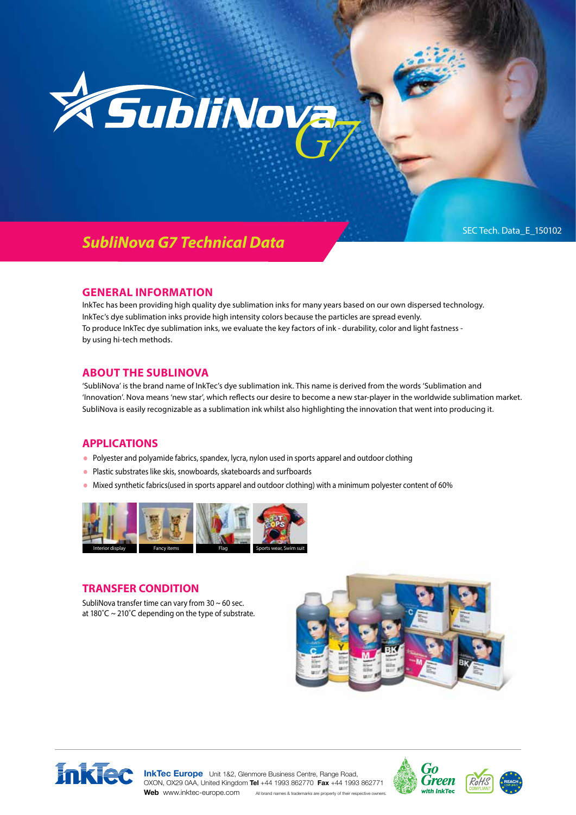

# *SubliNova G7 Technical Data*

#### **GENERAL INFORMATION**

InkTec has been providing high quality dye sublimation inks for many years based on our own dispersed technology. InkTec's dye sublimation inks provide high intensity colors because the particles are spread evenly. To produce InkTec dye sublimation inks, we evaluate the key factors of ink - durability, color and light fastness by using hi-tech methods.

#### **ABOUT THE SUBLINOVA**

'SubliNova' is the brand name of InkTec's dye sublimation ink. This name is derived from the words 'Sublimation and 'Innovation'. Nova means 'new star', which reflects our desire to become a new star-player in the worldwide sublimation market. SubliNova is easily recognizable as a sublimation ink whilst also highlighting the innovation that went into producing it.

#### **APPLICATIONS**

- Polyester and polyamide fabrics, spandex, lycra, nylon used in sports apparel and outdoor clothing
- Plastic substrates like skis, snowboards, skateboards and surfboards
- Mixed synthetic fabrics(used in sports apparel and outdoor clothing) with a minimum polyester content of 60%



### **TRANSFER CONDITION**

SubliNova transfer time can vary from  $30 \sim 60$  sec. at 180 $^{\circ}$ C ~ 210 $^{\circ}$ C depending on the type of substrate.





**InkTec Europe** Unit 1&2, Glenmore Business Centre, Range Road, OXON, OX29 0AA, United Kingdom **Tel** +44 1993 862770 **Fax** +44 1993 862771





Web www.inktec-europe.com All brand names & trademarks are property of their respective of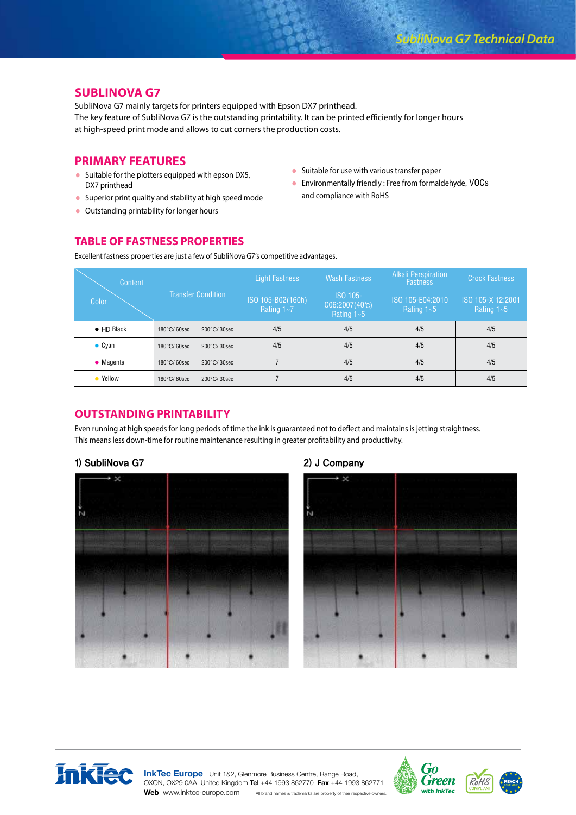# **SUBLINOVA G7**

SubliNova G7 mainly targets for printers equipped with Epson DX7 printhead. The key feature of SubliNova G7 is the outstanding printability. It can be printed efficiently for longer hours at high-speed print mode and allows to cut corners the production costs.

# **PRIMARY FEATURES**

- Suitable for the plotters equipped with epson DX5, DX7 printhead
- Superior print quality and stability at high speed mode
- Outstanding printability for longer hours
- Suitable for use with various transfer paper
- Environmentally friendly : Free from formaldehyde, VOCs and compliance with RoHS

# **TABLE OF FASTNESS PROPERTIES**

Excellent fastness properties are just a few of SubliNova G7's competitive advantages.

| Content            | <b>Transfer Condition</b> |             | Light Fastness                  | <b>Wash Fastness</b>                                  | Alkali Perspiration<br><b>Fastness</b> | <b>Crock Fastness</b>             |
|--------------------|---------------------------|-------------|---------------------------------|-------------------------------------------------------|----------------------------------------|-----------------------------------|
| <b>Color</b>       |                           |             | ISO 105-B02(160h)<br>Rating 1~7 | ISO 105-<br>$CO6:2007(40^{\circ}C)$<br>Rating $1 - 5$ | ISO 105-E04:2010<br>Rating 1~5         | ISO 105-X 12:2001<br>Rating $1-5$ |
| $\bullet$ HD Black | 180°C/60sec               | 200°C/30sec | 4/5                             | 4/5                                                   | 4/5                                    | 4/5                               |
| $\bullet$ Cyan     | 180°C/60sec               | 200°C/30sec | 4/5                             | 4/5                                                   | 4/5                                    | 4/5                               |
| $\bullet$ Magenta  | 180°C/60sec               | 200°C/30sec |                                 | 4/5                                                   | 4/5                                    | 4/5                               |
| • Yellow           | 180°C/60sec               | 200°C/30sec |                                 | 4/5                                                   | 4/5                                    | 4/5                               |

# **OUTSTANDING PRINTABILITY**

Even running at high speeds for long periods of time the ink is guaranteed not to deflect and maintains is jetting straightness. This means less down-time for routine maintenance resulting in greater profitability and productivity.

#### 1) SubliNova G7 2) J Company